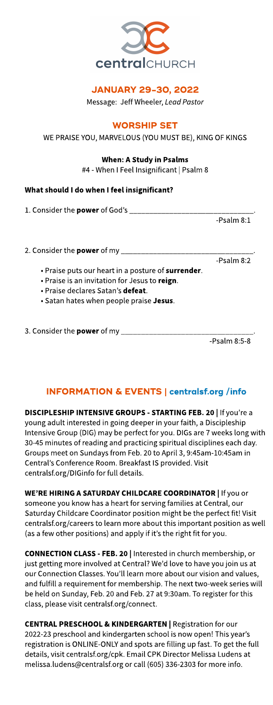

## **JANUARY 29-30, 2022**

Message: Jeff Wheeler, Lead Pastor

**WORSHIP SET** 

WE PRAISE YOU, MARVELOUS (YOU MUST BE), KING OF KINGS

### When: A Study in Psalms

#4 - When I Feel Insignificant | Psalm 8

## What should I do when I feel insignificant?

1. Consider the **power** of God's \_\_\_\_\_\_\_\_\_\_\_\_\_\_\_

-Psalm 8:1

-Psalm 8:2

2. Consider the **power** of my  $\equiv$ 

- . Praise puts our heart in a posture of surrender.
- . Praise is an invitation for Jesus to reign.
- . Praise declares Satan's defeat.
- Satan hates when people praise Jesus.

## 3. Consider the **power** of my  $\overline{\phantom{a}}$

-Psalm 8:5-8

## INFORMATION& EVENTS| **[centralsf.org/info](http://centralsf.org/info)**

DISCIPLESHIP INTENSIVE GROUPS - STARTING FEB. 20 | If you're a young adult interested in going deeper in your faith, a Discipleship Intensive Group (DIG) may be perfect for you. DIGs are 7 weeks long with 30-45 minutes of reading and practicing spiritual disciplines each day. Groups meet on Sundays from Feb. 20 to April 3, 9:45am-10:45am in Central's Conference Room. Breakfast IS provided. Visit centralsf.org/DIGinfo for full details.

WE'RE HIRING A SATURDAY CHILDCARE COORDINATOR | If you or someone you know has a heart for serving families at Central, our Saturday Childcare Coordinator position might be the perfect fit! Visit centralsf.org/careers to learn more about this important position as well (as a few other positions) and apply if it's the right fit for you.

CONNECTION CLASS- FEB. 20 | Interested in church membership, or just getting more involved at Central? We'd love to have you join us at our Connection Classes. You'll learn more about our vision and values, and fulfill a requirement for membership. The next two-week series will be held on Sunday, Feb. 20 and Feb. 27at 9:30am. To register for this class, please visit centralsf.org/connect.

CENTRAL PRESCHOOL& KINDERGARTEN | Registration for our 2022-23 preschool and kindergarten school is now open! This year's registration is ONLINE-ONLY and spots are filling up fast. To get the full details, visit centralsf.org/cpk. Email CPK Director Melissa Ludens at melissa.ludens@centralsf.org or call (605) 336-2303 for more info.